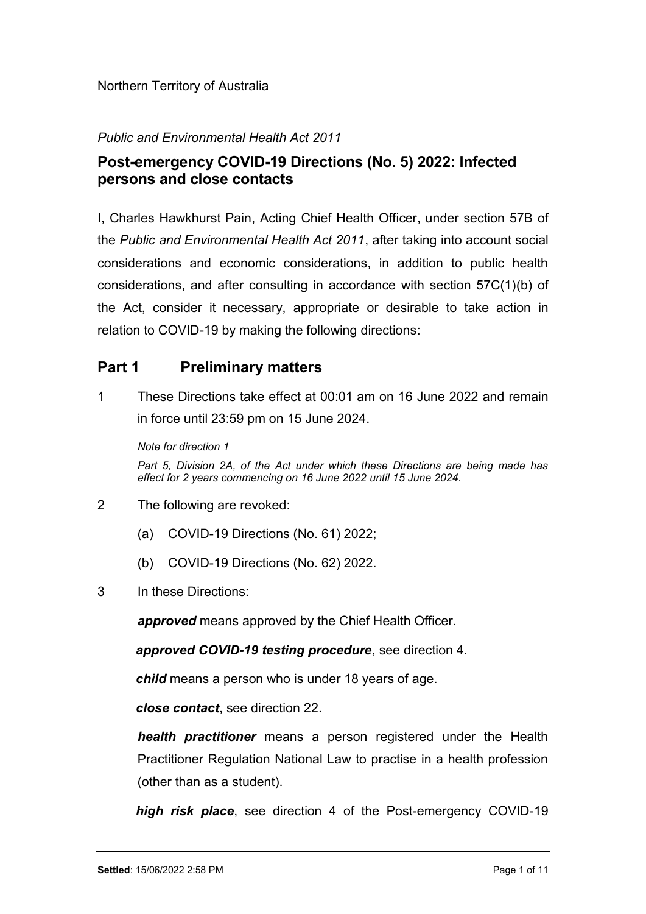## Public and Environmental Health Act 2011

# Post-emergency COVID-19 Directions (No. 5) 2022: Infected persons and close contacts

I, Charles Hawkhurst Pain, Acting Chief Health Officer, under section 57B of the Public and Environmental Health Act 2011, after taking into account social considerations and economic considerations, in addition to public health considerations, and after consulting in accordance with section 57C(1)(b) of the Act, consider it necessary, appropriate or desirable to take action in relation to COVID-19 by making the following directions:

# Part 1 Preliminary matters

1 These Directions take effect at 00:01 am on 16 June 2022 and remain in force until 23:59 pm on 15 June 2024.

Note for direction 1

Part 5, Division 2A, of the Act under which these Directions are being made has effect for 2 years commencing on 16 June 2022 until 15 June 2024.

- 2 The following are revoked:
	- (a) COVID-19 Directions (No. 61) 2022;
	- (b) COVID-19 Directions (No. 62) 2022.
- 3 In these Directions:

approved means approved by the Chief Health Officer.

approved COVID-19 testing procedure, see direction 4.

child means a person who is under 18 years of age.

close contact, see direction 22.

health practitioner means a person registered under the Health Practitioner Regulation National Law to practise in a health profession (other than as a student).

high risk place, see direction 4 of the Post-emergency COVID-19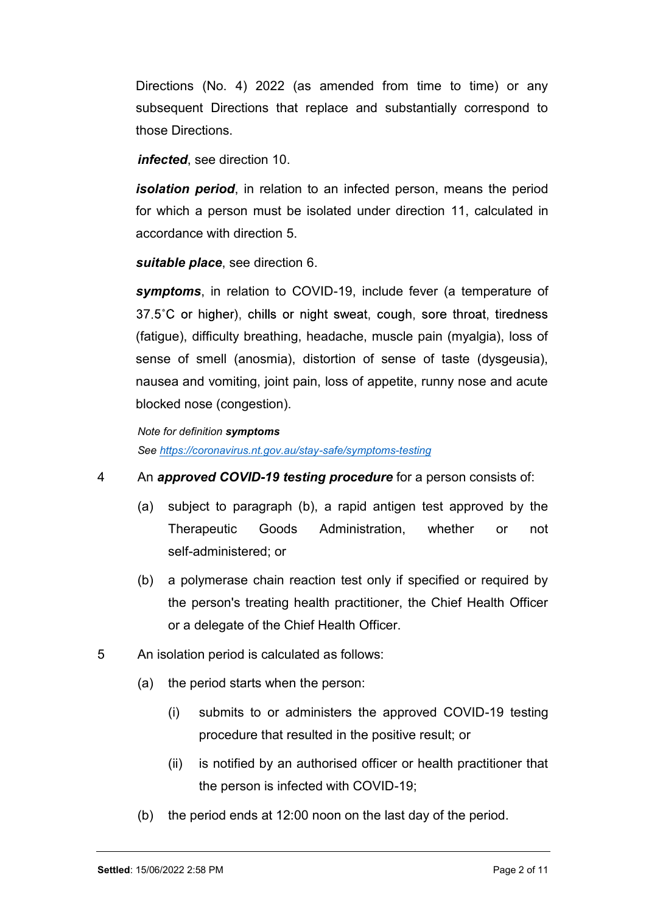Directions (No. 4) 2022 (as amended from time to time) or any subsequent Directions that replace and substantially correspond to those Directions.

infected, see direction 10.

**isolation period**, in relation to an infected person, means the period for which a person must be isolated under direction 11, calculated in accordance with direction 5.

suitable place, see direction 6.

symptoms, in relation to COVID-19, include fever (a temperature of 37.5°C or higher), chills or night sweat, cough, sore throat, tiredness (fatigue), difficulty breathing, headache, muscle pain (myalgia), loss of sense of smell (anosmia), distortion of sense of taste (dysgeusia), nausea and vomiting, joint pain, loss of appetite, runny nose and acute blocked nose (congestion).

```
Note for definition symptoms
```
See https://coronavirus.nt.gov.au/stay-safe/symptoms-testing

- 4 An approved COVID-19 testing procedure for a person consists of:
	- (a) subject to paragraph (b), a rapid antigen test approved by the Therapeutic Goods Administration, whether or not self-administered; or
	- (b) a polymerase chain reaction test only if specified or required by the person's treating health practitioner, the Chief Health Officer or a delegate of the Chief Health Officer.
- 5 An isolation period is calculated as follows:
	- (a) the period starts when the person:
		- (i) submits to or administers the approved COVID-19 testing procedure that resulted in the positive result; or
		- (ii) is notified by an authorised officer or health practitioner that the person is infected with COVID-19;
	- (b) the period ends at 12:00 noon on the last day of the period.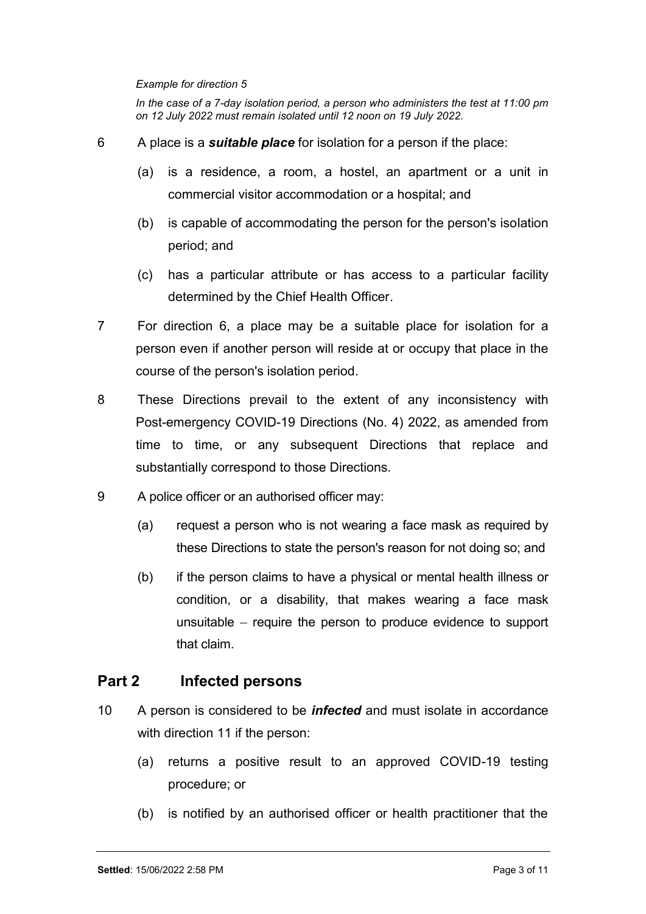Example for direction 5<br>In the case of a 7-day isolation period, a person who administers the test at 11:00 µ<br>on 12 July 2022 must remain isolated until 12 noon on 19 July 2022.<br>A place is a **suitable place** for isolation In the case of a 7-day isolation period, a person who administers the test at 11:00 pm on 12 July 2022 must remain isolated until 12 noon on 19 July 2022.

- 6 A place is a **suitable place** for isolation for a person if the place:
	- (a) is a residence, a room, a hostel, an apartment or a unit in commercial visitor accommodation or a hospital; and
	- (b) is capable of accommodating the person for the person's isolation period; and
	- (c) has a particular attribute or has access to a particular facility determined by the Chief Health Officer.
- 7 For direction 6, a place may be a suitable place for isolation for a person even if another person will reside at or occupy that place in the course of the person's isolation period.
- 8 These Directions prevail to the extent of any inconsistency with Post-emergency COVID-19 Directions (No. 4) 2022, as amended from time to time, or any subsequent Directions that replace and substantially correspond to those Directions.
- 9 A police officer or an authorised officer may:
	- (a) request a person who is not wearing a face mask as required by these Directions to state the person's reason for not doing so; and
	- (b) if the person claims to have a physical or mental health illness or condition, or a disability, that makes wearing a face mask unsuitable  $-$  require the person to produce evidence to support that claim.

# Part 2 Infected persons

- 10 A person is considered to be *infected* and must isolate in accordance with direction 11 if the person:
	- (a) returns a positive result to an approved COVID-19 testing procedure; or
	- (b) is notified by an authorised officer or health practitioner that the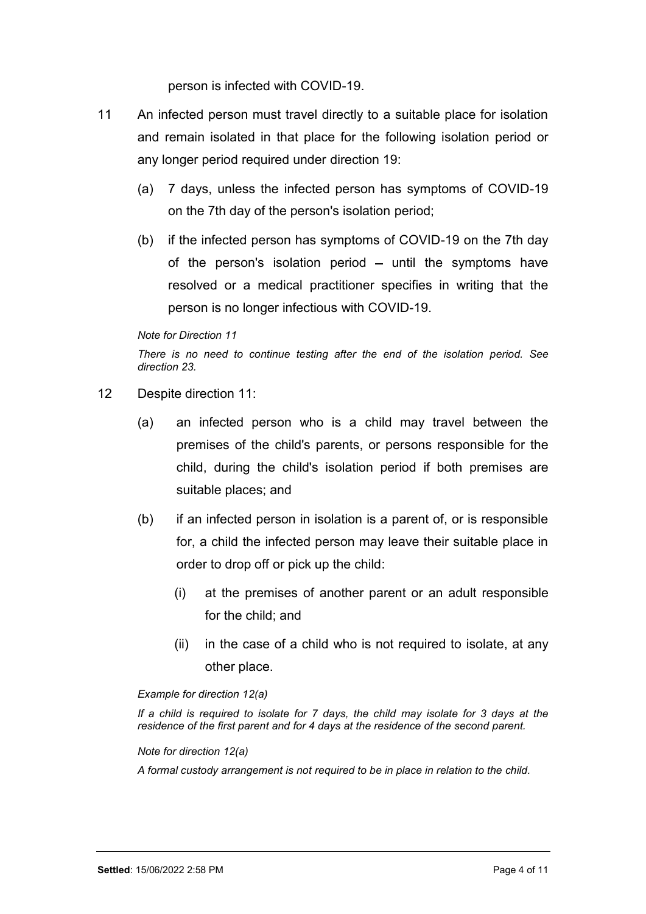person is infected with COVID-19.

- 11 An infected person must travel directly to a suitable place for isolation and remain isolated in that place for the following isolation period or any longer period required under direction 19:
	- (a) 7 days, unless the infected person has symptoms of COVID-19 on the 7th day of the person's isolation period;
	- (b) if the infected person has symptoms of COVID-19 on the 7th day of the person's isolation period  $-$  until the symptoms have resolved or a medical practitioner specifies in writing that the person is no longer infectious with COVID-19.

### Note for Direction 11

There is no need to continue testing after the end of the isolation period. See direction 23.

- 12 Despite direction 11:
	- (a) an infected person who is a child may travel between the premises of the child's parents, or persons responsible for the child, during the child's isolation period if both premises are suitable places; and
	- (b) if an infected person in isolation is a parent of, or is responsible for, a child the infected person may leave their suitable place in order to drop off or pick up the child:
		- (i) at the premises of another parent or an adult responsible for the child; and
		- (ii) in the case of a child who is not required to isolate, at any other place.

#### Example for direction 12(a)

If a child is required to isolate for 7 days, the child may isolate for 3 days at the residence of the first parent and for 4 days at the residence of the second parent.

Note for direction 12(a)

A formal custody arrangement is not required to be in place in relation to the child.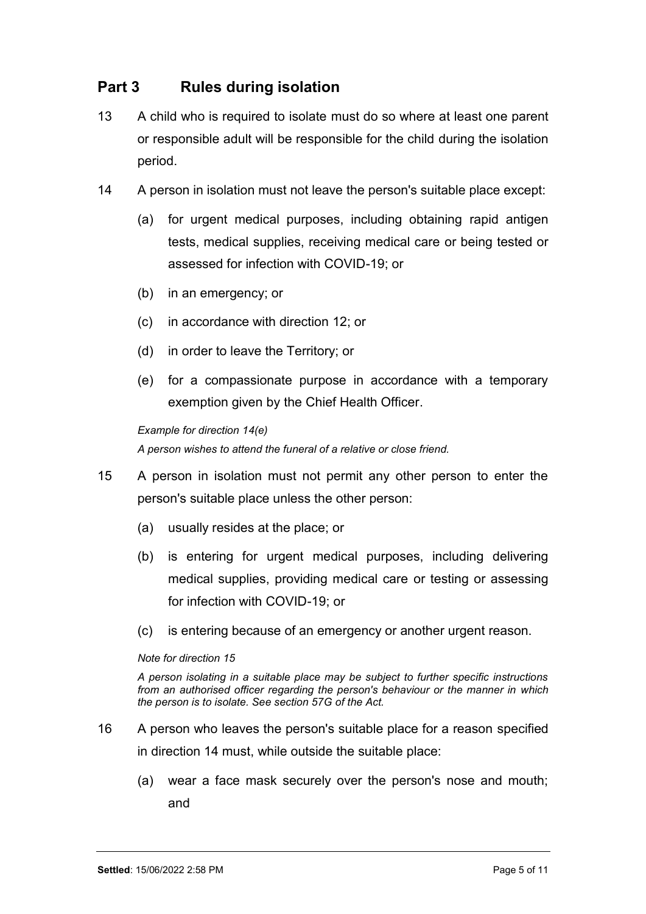# Part 3 Rules during isolation

- 13 A child who is required to isolate must do so where at least one parent or responsible adult will be responsible for the child during the isolation period.
- 14 A person in isolation must not leave the person's suitable place except:
	- (a) for urgent medical purposes, including obtaining rapid antigen tests, medical supplies, receiving medical care or being tested or assessed for infection with COVID-19; or
	- (b) in an emergency; or
	- (c) in accordance with direction 12; or
	- (d) in order to leave the Territory; or
	- (e) for a compassionate purpose in accordance with a temporary exemption given by the Chief Health Officer.

### Example for direction 14(e)

A person wishes to attend the funeral of a relative or close friend.

- 15 A person in isolation must not permit any other person to enter the person's suitable place unless the other person:
	- (a) usually resides at the place; or
	- (b) is entering for urgent medical purposes, including delivering medical supplies, providing medical care or testing or assessing for infection with COVID-19; or
	- (c) is entering because of an emergency or another urgent reason.

#### Note for direction 15

A person isolating in a suitable place may be subject to further specific instructions from an authorised officer regarding the person's behaviour or the manner in which the person is to isolate. See section 57G of the Act.

- 16 A person who leaves the person's suitable place for a reason specified in direction 14 must, while outside the suitable place:
	- (a) wear a face mask securely over the person's nose and mouth; and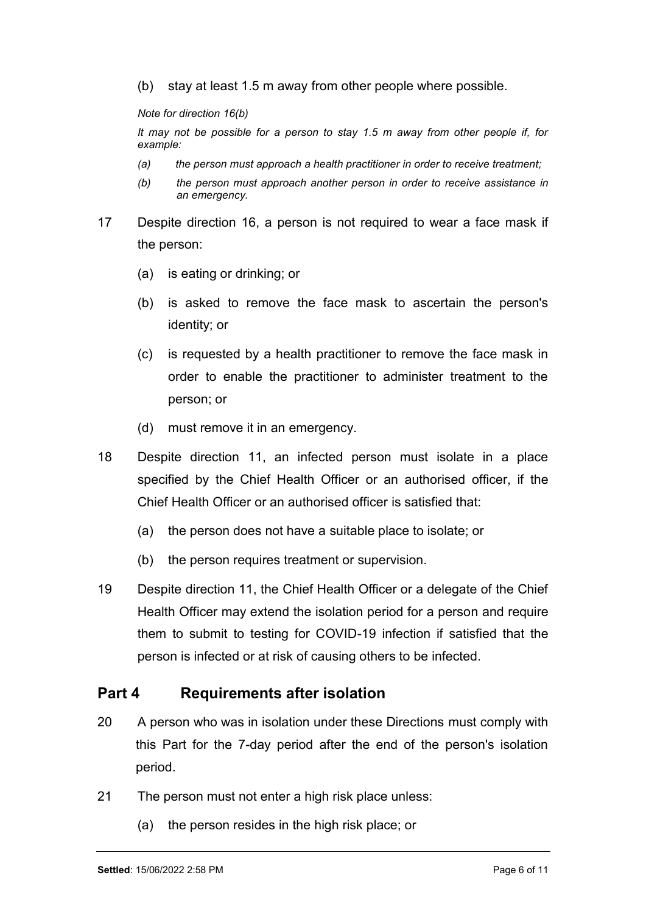(b) stay at least 1.5 m away from other people where possible.

Note for direction 16(b)

It may not be possible for a person to stay 1.5 m away from other people if, for example:

- (a) the person must approach a health practitioner in order to receive treatment;
- (b) the person must approach another person in order to receive assistance in an emergency.
- 17 Despite direction 16, a person is not required to wear a face mask if the person:
	- (a) is eating or drinking; or
	- (b) is asked to remove the face mask to ascertain the person's identity; or
	- (c) is requested by a health practitioner to remove the face mask in order to enable the practitioner to administer treatment to the person; or
	- (d) must remove it in an emergency.
- 18 Despite direction 11, an infected person must isolate in a place specified by the Chief Health Officer or an authorised officer, if the Chief Health Officer or an authorised officer is satisfied that:
	- (a) the person does not have a suitable place to isolate; or
	- (b) the person requires treatment or supervision.
- 19 Despite direction 11, the Chief Health Officer or a delegate of the Chief Health Officer may extend the isolation period for a person and require them to submit to testing for COVID-19 infection if satisfied that the person is infected or at risk of causing others to be infected.

# Part 4 Requirements after isolation

- 20 A person who was in isolation under these Directions must comply with this Part for the 7-day period after the end of the person's isolation period.
- 21 The person must not enter a high risk place unless:
	- (a) the person resides in the high risk place; or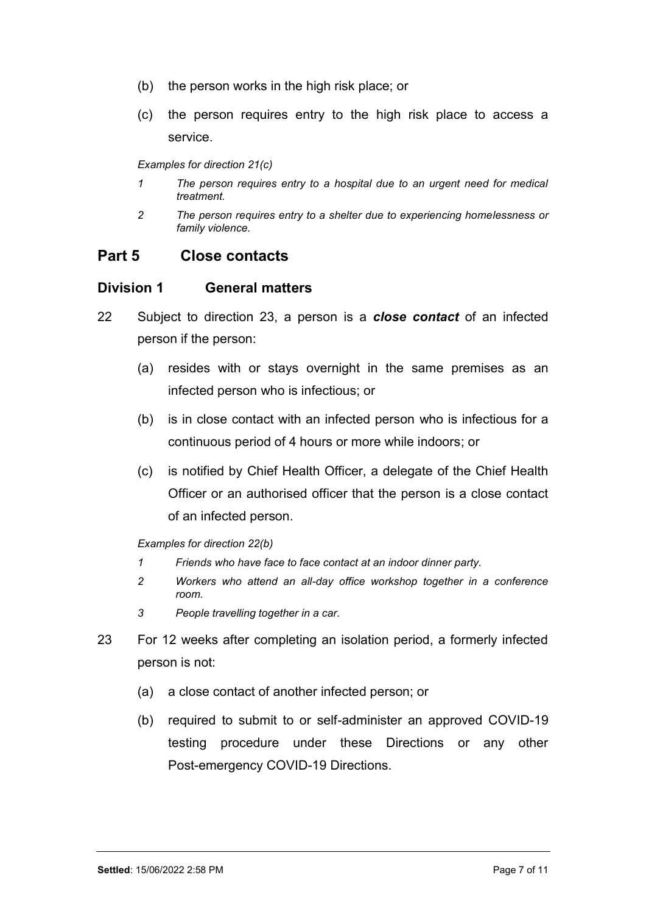- (b) the person works in the high risk place; or
- (c) the person requires entry to the high risk place to access a service.

Examples for direction 21(c)

- 1 The person requires entry to a hospital due to an urgent need for medical treatment.
- 2 The person requires entry to a shelter due to experiencing homelessness or family violence.

## Part 5 Close contacts

## Division 1 General matters

- 22 Subject to direction 23, a person is a **close contact** of an infected person if the person:
	- (a) resides with or stays overnight in the same premises as an infected person who is infectious; or
	- (b) is in close contact with an infected person who is infectious for a continuous period of 4 hours or more while indoors; or
	- (c) is notified by Chief Health Officer, a delegate of the Chief Health Officer or an authorised officer that the person is a close contact of an infected person.

Examples for direction 22(b)

- 1 Friends who have face to face contact at an indoor dinner party.
- 2 Workers who attend an all-day office workshop together in a conference room.
- 3 People travelling together in a car.
- 23 For 12 weeks after completing an isolation period, a formerly infected person is not:
	- (a) a close contact of another infected person; or
	- (b) required to submit to or self-administer an approved COVID-19 testing procedure under these Directions or any other Post-emergency COVID-19 Directions.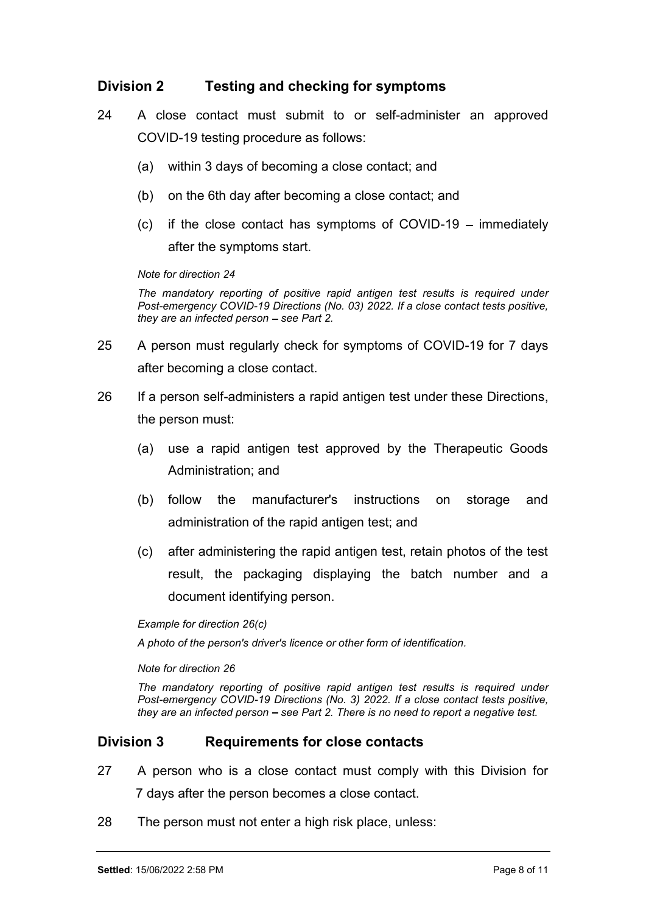- Division 2 Testing and checking for symptoms<br>24 A close contact must submit to or self-administer an approved<br>COVID-19 testing procedure as follows: 24 A close contact must submit to or self-administer an approved COVID-19 testing procedure as follows:
	- (a) within 3 days of becoming a close contact; and
	- (b) on the 6th day after becoming a close contact; and
	- $(c)$  if the close contact has symptoms of COVID-19 immediately after the symptoms start.

#### Note for direction 24

The mandatory reporting of positive rapid antigen test results is required under Post-emergency COVID-19 Directions (No. 03) 2022. If a close contact tests positive, they are an infected person  $-$  see Part 2.

- 25 A person must regularly check for symptoms of COVID-19 for 7 days after becoming a close contact.
- 26 If a person self-administers a rapid antigen test under these Directions, the person must:
	- (a) use a rapid antigen test approved by the Therapeutic Goods Administration; and
	- (b) follow the manufacturer's instructions on storage and administration of the rapid antigen test; and
	- (c) after administering the rapid antigen test, retain photos of the test result, the packaging displaying the batch number and a document identifying person.

Example for direction 26(c)

A photo of the person's driver's licence or other form of identification.

Note for direction 26

The mandatory reporting of positive rapid antigen test results is required under Post-emergency COVID-19 Directions (No. 3) 2022. If a close contact tests positive, they are an infected person  $-$  see Part 2. There is no need to report a negative test.

## Division 3 Requirements for close contacts

- 27 A person who is a close contact must comply with this Division for 7 days after the person becomes a close contact.
- 28 The person must not enter a high risk place, unless: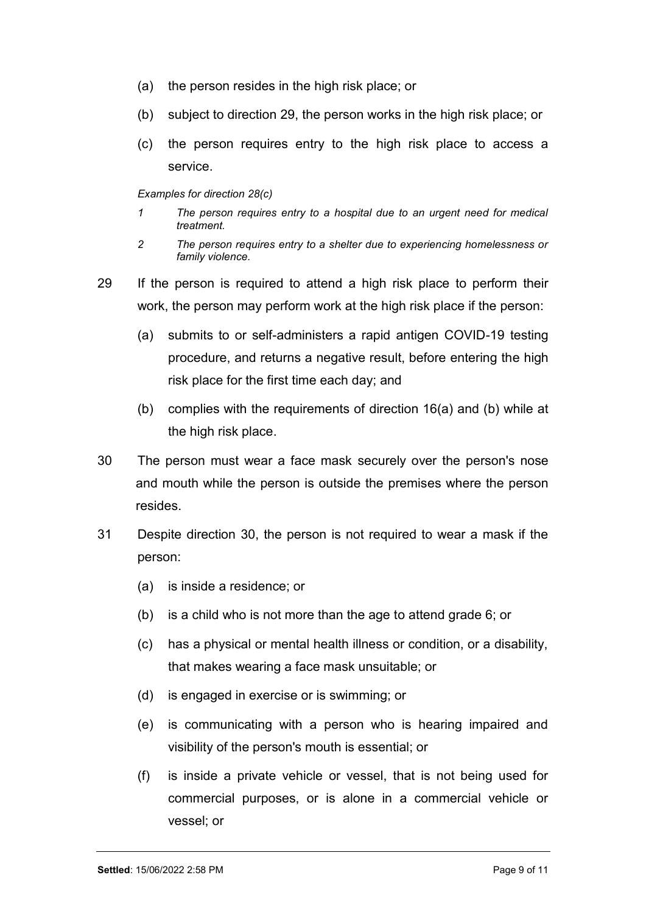- (a) the person resides in the high risk place; or
- (b) subject to direction 29, the person works in the high risk place; or
- (c) the person requires entry to the high risk place to access a service.

#### Examples for direction 28(c)

- 1 The person requires entry to a hospital due to an urgent need for medical treatment.
- 2 The person requires entry to a shelter due to experiencing homelessness or family violence.
- 29 If the person is required to attend a high risk place to perform their work, the person may perform work at the high risk place if the person:
	- (a) submits to or self-administers a rapid antigen COVID-19 testing procedure, and returns a negative result, before entering the high risk place for the first time each day; and
	- (b) complies with the requirements of direction 16(a) and (b) while at the high risk place.
- 30 The person must wear a face mask securely over the person's nose and mouth while the person is outside the premises where the person resides.
- 31 Despite direction 30, the person is not required to wear a mask if the person:
	- (a) is inside a residence; or
	- (b) is a child who is not more than the age to attend grade 6; or
	- (c) has a physical or mental health illness or condition, or a disability, that makes wearing a face mask unsuitable; or
	- (d) is engaged in exercise or is swimming; or
	- (e) is communicating with a person who is hearing impaired and visibility of the person's mouth is essential; or
	- (f) is inside a private vehicle or vessel, that is not being used for commercial purposes, or is alone in a commercial vehicle or vessel; or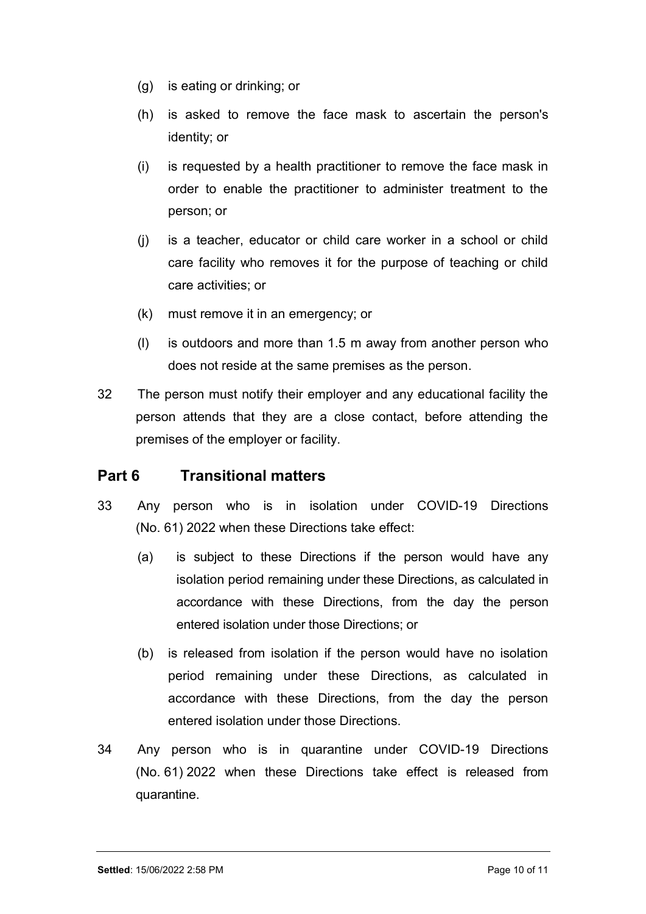- (g) is eating or drinking; or
- (h) is asked to remove the face mask to ascertain the person's identity; or
- (i) is requested by a health practitioner to remove the face mask in order to enable the practitioner to administer treatment to the person; or
- (j) is a teacher, educator or child care worker in a school or child care facility who removes it for the purpose of teaching or child care activities; or
- (k) must remove it in an emergency; or
- (l) is outdoors and more than 1.5 m away from another person who does not reside at the same premises as the person.
- 32 The person must notify their employer and any educational facility the person attends that they are a close contact, before attending the premises of the employer or facility.

# Part 6 Transitional matters

- 33 Any person who is in isolation under COVID-19 Directions (No. 61) 2022 when these Directions take effect:
	- (a) is subject to these Directions if the person would have any isolation period remaining under these Directions, as calculated in accordance with these Directions, from the day the person entered isolation under those Directions; or
	- (b) is released from isolation if the person would have no isolation period remaining under these Directions, as calculated in accordance with these Directions, from the day the person entered isolation under those Directions.
- 34 Any person who is in quarantine under COVID-19 Directions (No. 61) 2022 when these Directions take effect is released from quarantine.